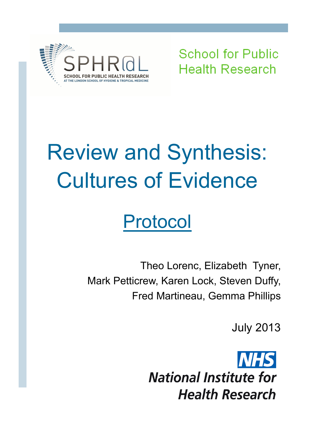

**School for Public Health Research** 

# Review and Synthesis: Cultures of Evidence

## Protocol

Theo Lorenc, Elizabeth Tyner, Mark Petticrew, Karen Lock, Steven Duffy, Fred Martineau, Gemma Phillips

July 2013

**National Institute for Health Research**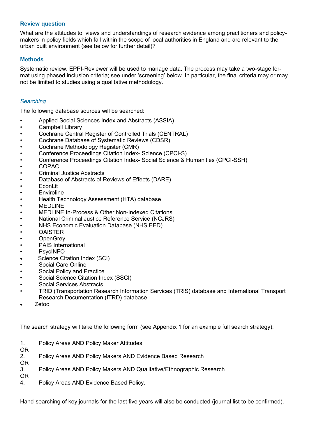#### **Review question**

What are the attitudes to, views and understandings of research evidence among practitioners and policymakers in policy fields which fall within the scope of local authorities in England and are relevant to the urban built environment (see below for further detail)?

#### **Methods**

Systematic review. EPPI-Reviewer will be used to manage data. The process may take a two-stage format using phased inclusion criteria; see under 'screening' below. In particular, the final criteria may or may not be limited to studies using a qualitative methodology.

#### *Searching*

The following database sources will be searched:

- Applied Social Sciences Index and Abstracts (ASSIA)
- Campbell Library
- Cochrane Central Register of Controlled Trials (CENTRAL)
- Cochrane Database of Systematic Reviews (CDSR)
- Cochrane Methodology Register (CMR)
- Conference Proceedings Citation Index- Science (CPCI-S)
- Conference Proceedings Citation Index- Social Science & Humanities (CPCI-SSH)
- COPAC
- Criminal Justice Abstracts
- Database of Abstracts of Reviews of Effects (DARE)
- EconLit
- Enviroline
- Health Technology Assessment (HTA) database
- MEDLINE
- MEDLINE In-Process & Other Non-Indexed Citations
- National Criminal Justice Reference Service (NCJRS)
- NHS Economic Evaluation Database (NHS EED)
- OAISTER
- OpenGrey
- PAIS International
- PsycINFO
- Science Citation Index (SCI)
- Social Care Online
- Social Policy and Practice
- Social Science Citation Index (SSCI)
- Social Services Abstracts
- TRID (Transportation Research Information Services (TRIS) database and International Transport Research Documentation (ITRD) database
- Zetoc

The search strategy will take the following form (see Appendix 1 for an example full search strategy):

| $1_{\cdot}$<br><b>OR</b> | Policy Areas AND Policy Maker Attitudes                              |
|--------------------------|----------------------------------------------------------------------|
| 2.<br><b>OR</b>          | Policy Areas AND Policy Makers AND Evidence Based Research           |
| 3.                       | Policy Areas AND Policy Makers AND Qualitative/Ethnographic Research |
| OR<br>4.                 | Policy Areas AND Evidence Based Policy.                              |

Hand-searching of key journals for the last five years will also be conducted (journal list to be confirmed).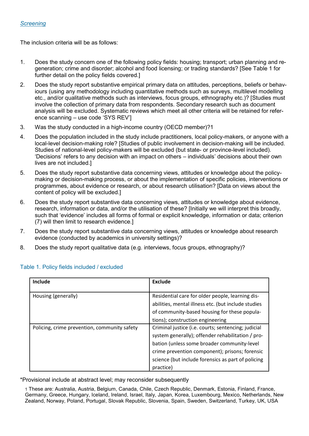The inclusion criteria will be as follows:

- 1. Does the study concern one of the following policy fields: housing; transport; urban planning and regeneration; crime and disorder; alcohol and food licensing; or trading standards? [See Table 1 for further detail on the policy fields covered.]
- 2. Does the study report substantive empirical primary data on attitudes, perceptions, beliefs or behaviours (using any methodology including quantitative methods such as surveys, multilevel modelling etc., and/or qualitative methods such as interviews, focus groups, ethnography etc.)? [Studies must involve the collection of primary data from respondents. Secondary research such as document analysis will be excluded. Systematic reviews which meet all other criteria will be retained for reference scanning – use code 'SYS REV']
- 3. Was the study conducted in a high-income country (OECD member)?1
- 4. Does the population included in the study include practitioners, local policy-makers, or anyone with a local-level decision-making role? [Studies of public involvement in decision-making will be included. Studies of national-level policy-makers will be excluded (but state- or province-level included). 'Decisions' refers to any decision with an impact on others – individuals' decisions about their own lives are not included.]
- 5. Does the study report substantive data concerning views, attitudes or knowledge about the policymaking or decision-making process, or about the implementation of specific policies, interventions or programmes, about evidence or research, or about research utilisation? [Data on views about the content of policy will be excluded.]
- 6. Does the study report substantive data concerning views, attitudes or knowledge about evidence, research, information or data, and/or the utilisation of these? [Initially we will interpret this broadly, such that 'evidence' includes all forms of formal or explicit knowledge, information or data; criterion (7) will then limit to research evidence.]
- 7. Does the study report substantive data concerning views, attitudes or knowledge about research evidence (conducted by academics in university settings)?
- 8. Does the study report qualitative data (e.g. interviews, focus groups, ethnography)?

| Include                                      | Exclude                                             |
|----------------------------------------------|-----------------------------------------------------|
|                                              |                                                     |
| Housing (generally)                          | Residential care for older people, learning dis-    |
|                                              | abilities, mental illness etc. (but include studies |
|                                              | of community-based housing for these popula-        |
|                                              | tions); construction engineering                    |
| Policing, crime prevention, community safety | Criminal justice (i.e. courts; sentencing; judicial |
|                                              | system generally); offender rehabilitation / pro-   |
|                                              | bation (unless some broader community-level         |
|                                              | crime prevention component); prisons; forensic      |
|                                              | science (but include forensics as part of policing  |
|                                              | practice)                                           |

#### Table 1. Policy fields included / excluded

\*Provisional include at abstract level; may reconsider subsequently

1 These are: Australia, Austria, Belgium, Canada, Chile, Czech Republic, Denmark, Estonia, Finland, France, Germany, Greece, Hungary, Iceland, Ireland, Israel, Italy, Japan, Korea, Luxembourg, Mexico, Netherlands, New Zealand, Norway, Poland, Portugal, Slovak Republic, Slovenia, Spain, Sweden, Switzerland, Turkey, UK, USA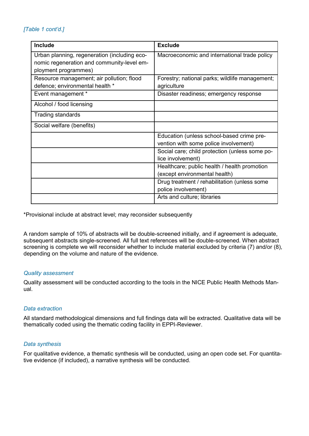### *[Table 1 cont'd.]*

| Include                                      | <b>Exclude</b>                                 |
|----------------------------------------------|------------------------------------------------|
| Urban planning, regeneration (including eco- | Macroeconomic and international trade policy   |
| nomic regeneration and community-level em-   |                                                |
| ployment programmes)                         |                                                |
| Resource management; air pollution; flood    | Forestry; national parks; wildlife management; |
| defence; environmental health *              | agriculture                                    |
| Event management *                           | Disaster readiness; emergency response         |
| Alcohol / food licensing                     |                                                |
| <b>Trading standards</b>                     |                                                |
| Social welfare (benefits)                    |                                                |
|                                              | Education (unless school-based crime pre-      |
|                                              | vention with some police involvement)          |
|                                              | Social care; child protection (unless some po- |
|                                              | lice involvement)                              |
|                                              | Healthcare; public health / health promotion   |
|                                              | (except environmental health)                  |
|                                              | Drug treatment / rehabilitation (unless some   |
|                                              | police involvement)                            |
|                                              | Arts and culture; libraries                    |

\*Provisional include at abstract level; may reconsider subsequently

A random sample of 10% of abstracts will be double-screened initially, and if agreement is adequate, subsequent abstracts single-screened. All full text references will be double-screened. When abstract screening is complete we will reconsider whether to include material excluded by criteria (7) and/or (8), depending on the volume and nature of the evidence.

#### *Quality assessment*

Quality assessment will be conducted according to the tools in the NICE Public Health Methods Manual.

#### *Data extraction*

All standard methodological dimensions and full findings data will be extracted. Qualitative data will be thematically coded using the thematic coding facility in EPPI-Reviewer.

#### *Data synthesis*

For qualitative evidence, a thematic synthesis will be conducted, using an open code set. For quantitative evidence (if included), a narrative synthesis will be conducted.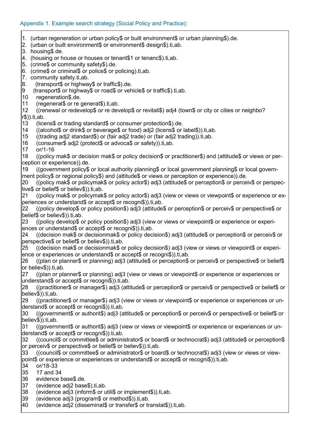- 1. (urban regeneration or urban policy\$ or built environment\$ or urban planning\$).de.
- 2. (urban or built environment\$ or environment\$ design\$).ti,ab.
- 3. housing\$.de.
- 4. (housing or house or houses or tenant\$1 or tenanc\$).ti,ab.
- 5. (crime\$ or community safety\$).de.
- 6. (crime\$ or criminal\$ or police\$ or policing).ti,ab.
- 7. community safety.ti,ab.
- 8. (transport\$ or highway\$ or traffic\$).de.
- 9 (transport\$ or highway\$ or road\$ or vehicle\$ or traffic\$).ti,ab.
- 10 regeneration\$.de.
- 11 (regenerat\$ or re generat\$).ti,ab.

12 ((renewal or redevelop\$ or re develop\$ or revitali\$) adj4 (town\$ or city or cities or neighbo? r\$)).ti,ab.

- 13 (licens\$ or trading standard\$ or consumer protection\$).de.
- 14 ((alcohol\$ or drink\$ or beverage\$ or food) adj2 (licens\$ or label\$)).ti,ab.
- 15 ((trading adj2 standard\$) or (fair adj2 trade) or (fair adj2 trading)).ti,ab.
- 16 (consumer\$ adj2 (protect\$ or advoca\$ or safety)).ti,ab.
- 17 or/1-16

18 ((policy mak\$ or decision mak\$ or policy decision\$ or practitioner\$) and (attitude\$ or views or perception or experience)).de.

19 ((government policy\$ or local authority planning\$ or local government planning\$ or local government policy\$ or regional policy\$) and (attitude\$ or views or perception or experience)).de.

20 ((policy mak\$ or policymak\$ or policy actor\$) adj3 (attitude\$ or perception\$ or perceiv\$ or perspective\$ or belief\$ or believ\$)).ti,ab.

21 ((policy mak\$ or policymak\$ or policy actor\$) adj3 (view or views or viewpoint\$ or experience or experiences or understand\$ or accept\$ or recogni\$)).ti,ab.

22 ((policy develop\$ or policy position\$) adj3 (attitude\$ or perception\$ or perceiv\$ or perspective\$ or belief\$ or believ\$)).ti,ab.

23 ((policy develop\$ or policy position\$) adj3 (view or views or viewpoint\$ or experience or experiences or understand\$ or accept\$ or recogni\$)).ti,ab.

24 ((decision mak\$ or decisionmak\$ or policy decision\$) adj3 (attitude\$ or perception\$ or perceiv\$ or perspective\$ or belief\$ or believ\$)).ti,ab.

25 ((decision mak\$ or decisionmak\$ or policy decision\$) adj3 (view or views or viewpoint\$ or experience or experiences or understand\$ or accept\$ or recogni\$)).ti,ab.

26 ((plan or planner\$ or planning) adj3 (attitude\$ or perception\$ or perceiv\$ or perspective\$ or belief\$ or believ\$)).ti,ab.

27 ((plan or planner\$ or planning) adj3 (view or views or viewpoint\$ or experience or experiences or understand\$ or accept\$ or recogni\$)).ti,ab.

28 ((practitioner\$ or manager\$) adj3 (attitude\$ or perception\$ or perceiv\$ or perspective\$ or belief\$ or believ\$)).ti,ab.

29 ((practitioner\$ or manager\$) adj3 (view or views or viewpoint\$ or experience or experiences or understand\$ or accept\$ or recogni\$)).ti,ab.

30 ((government\$ or authorit\$) adj3 (attitude\$ or perception\$ or perceiv\$ or perspective\$ or belief\$ or believ\$)).ti,ab.

31 ((government\$ or authorit\$) adj3 (view or views or viewpoint\$ or experience or experiences or understand\$ or accept\$ or recogni\$)).ti,ab.

32 ((council\$ or committee\$ or administrator\$ or board\$ or technocrat\$) adj3 (attitude\$ or perception\$ or perceiv\$ or perspective\$ or belief\$ or believ\$)).ti,ab.

33 ((council\$ or committee\$ or administrator\$ or board\$ or technocrat\$) adj3 (view or views or viewpoint\$ or experience or experiences or understand\$ or accept\$ or recogni\$)).ti,ab.

- 34 or/18-33
- 35 17 and 34
- 36 evidence base\$.de.
- 37 (evidence adj2 base\$).ti,ab.
- 38 (evidence adj3 (inform\$ or utili\$ or implement\$)).ti,ab.
- 39 (evidence adj3 (program\$ or method\$)).ti,ab.
- 40 (evidence adj2 (disseminat\$ or transfer\$ or translat\$)).ti,ab.